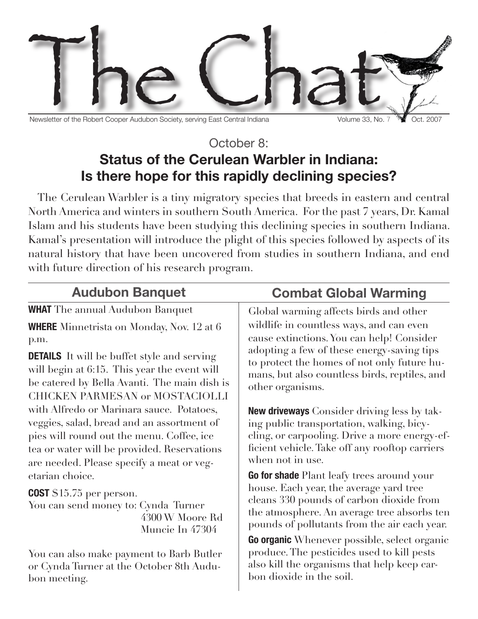

Newsletter of the Robert Cooper Audubon Society, serving East Central Indiana Volume 33, No. 7 Vermet Cooper Audubon Society, serving East Central Indiana

## October 8: **Status of the Cerulean Warbler in Indiana: Is there hope for this rapidly declining species?**

The Cerulean Warbler is a tiny migratory species that breeds in eastern and central North America and winters in southern South America. For the past 7 years, Dr. Kamal Islam and his students have been studying this declining species in southern Indiana. Kamal's presentation will introduce the plight of this species followed by aspects of its natural history that have been uncovered from studies in southern Indiana, and end with future direction of his research program.

| <b>Audubon Banquet</b>                                                                                                          | <b>Combat Global Warming</b>                                                                                                                                                                                                                                                            |  |  |
|---------------------------------------------------------------------------------------------------------------------------------|-----------------------------------------------------------------------------------------------------------------------------------------------------------------------------------------------------------------------------------------------------------------------------------------|--|--|
| <b>WHAT</b> The annual Audubon Banquet                                                                                          | Global warming affects birds and other                                                                                                                                                                                                                                                  |  |  |
| <b>WHERE</b> Minnetrista on Monday, Nov. 12 at 6                                                                                | wildlife in countless ways, and can even                                                                                                                                                                                                                                                |  |  |
| p.m.                                                                                                                            | cause extinctions. You can help! Consider                                                                                                                                                                                                                                               |  |  |
| <b>DETAILS</b> It will be buffet style and serving                                                                              | adopting a few of these energy-saving tips                                                                                                                                                                                                                                              |  |  |
| will begin at 6:15. This year the event will                                                                                    | to protect the homes of not only future hu-                                                                                                                                                                                                                                             |  |  |
| be catered by Bella Avanti. The main dish is                                                                                    | mans, but also countless birds, reptiles, and                                                                                                                                                                                                                                           |  |  |
| <b>CHICKEN PARMESAN or MOSTACIOLLI</b>                                                                                          | other organisms.                                                                                                                                                                                                                                                                        |  |  |
| with Alfredo or Marinara sauce. Potatoes,                                                                                       | <b>New driveways</b> Consider driving less by tak-                                                                                                                                                                                                                                      |  |  |
| veggies, salad, bread and an assortment of                                                                                      | ing public transportation, walking, bicy-                                                                                                                                                                                                                                               |  |  |
| pies will round out the menu. Coffee, ice                                                                                       | cling, or carpooling. Drive a more energy-ef-                                                                                                                                                                                                                                           |  |  |
| tea or water will be provided. Reservations                                                                                     | ficient vehicle. Take off any rooftop carriers                                                                                                                                                                                                                                          |  |  |
| are needed. Please specify a meat or veg-                                                                                       | when not in use.                                                                                                                                                                                                                                                                        |  |  |
| etarian choice.<br><b>COST</b> \$15.75 per person.<br>You can send money to: Cynda Turner<br>4300 W Moore Rd<br>Muncie In 47304 | Go for shade Plant leafy trees around your<br>house. Each year, the average yard tree<br>cleans 330 pounds of carbon dioxide from<br>the atmosphere. An average tree absorbs ten<br>pounds of pollutants from the air each year.<br><b>Go organic</b> Whenever possible, select organic |  |  |
| You can also make payment to Barb Butler                                                                                        | produce. The pesticides used to kill pests                                                                                                                                                                                                                                              |  |  |
| or Cynda Turner at the October 8th Audu-                                                                                        | also kill the organisms that help keep car-                                                                                                                                                                                                                                             |  |  |
| bon meeting.                                                                                                                    | bon dioxide in the soil.                                                                                                                                                                                                                                                                |  |  |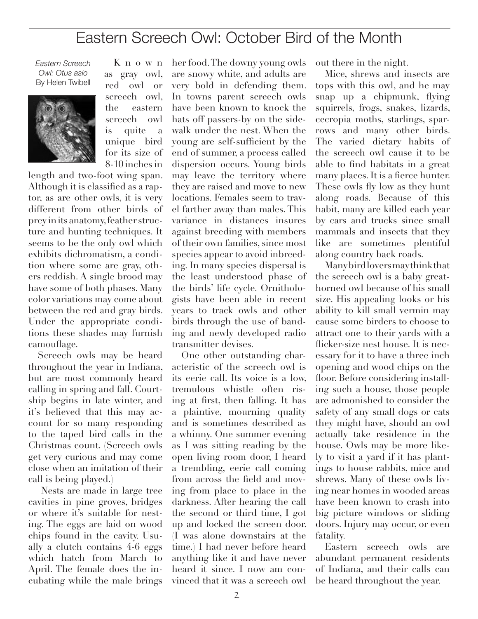## Eastern Screech Owl: October Bird of the Month

*Eastern Screech Owl: Otus asio* By Helen Twibell



as gray owl, red owl or screech owl, the eastern screech owl is quite a unique bird for its size of 8-10 inches in

K n o w n

length and two-foot wing span. Although it is classified as a raptor, as are other owls, it is very different from other birds of prey in its anatomy, feather structure and hunting techniques. It seems to be the only owl which exhibits dichromatism, a condition where some are gray, others reddish. A single brood may have some of both phases. Many color variations may come about between the red and gray birds. Under the appropriate conditions these shades may furnish camouflage.

Screech owls may be heard throughout the year in Indiana, but are most commonly heard calling in spring and fall. Courtship begins in late winter, and it's believed that this may account for so many responding to the taped bird calls in the Christmas count. (Screech owls get very curious and may come close when an imitation of their call is being played.)

 Nests are made in large tree cavities in pine groves, bridges or where it's suitable for nesting. The eggs are laid on wood chips found in the cavity. Usually a clutch contains 4-6 eggs which hatch from March to April. The female does the incubating while the male brings her food. The downy young owls are snowy white, and adults are very bold in defending them. In towns parent screech owls have been known to knock the hats off passers-by on the sidewalk under the nest. When the young are self-sufficient by the end of summer, a process called dispersion occurs. Young birds may leave the territory where they are raised and move to new locations. Females seem to travel farther away than males. This variance in distances insures against breeding with members of their own families, since most species appear to avoid inbreeding. In many species dispersal is the least understood phase of the birds' life cycle. Ornithologists have been able in recent years to track owls and other birds through the use of banding and newly developed radio transmitter devises.

One other outstanding characteristic of the screech owl is its eerie call. Its voice is a low, tremulous whistle often rising at first, then falling. It has a plaintive, mourning quality and is sometimes described as a whinny. One summer evening as I was sitting reading by the open living room door, I heard a trembling, eerie call coming from across the field and moving from place to place in the darkness. After hearing the call the second or third time, I got up and locked the screen door. (I was alone downstairs at the time.) I had never before heard anything like it and have never heard it since. I now am convinced that it was a screech owl

out there in the night.

Mice, shrews and insects are tops with this owl, and he may snap up a chipmunk, flying squirrels, frogs, snakes, lizards, cecropia moths, starlings, sparrows and many other birds. The varied dietary habits of the screech owl cause it to be able to find habitats in a great many places. It is a fierce hunter. These owls fly low as they hunt along roads. Because of this habit, many are killed each year by cars and trucks since small mammals and insects that they like are sometimes plentiful along country back roads.

Many bird lovers may think that the screech owl is a baby greathorned owl because of his small size. His appealing looks or his ability to kill small vermin may cause some birders to choose to attract one to their yards with a flicker-size nest house. It is necessary for it to have a three inch opening and wood chips on the floor. Before considering installing such a house, those people are admonished to consider the safety of any small dogs or cats they might have, should an owl actually take residence in the house. Owls may be more likely to visit a yard if it has plantings to house rabbits, mice and shrews. Many of these owls living near homes in wooded areas have been known to crash into big picture windows or sliding doors. Injury may occur, or even fatality.

Eastern screech owls are abundant permanent residents of Indiana, and their calls can be heard throughout the year.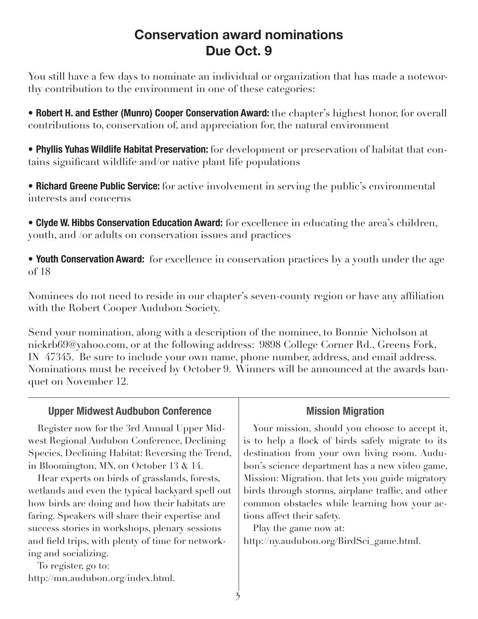## **Conservation award nominations Due Oct. 9**

You still have a few days to nominate an individual or organization that has made a noteworthy contribution to the environment in one of these categories:

• **Robert H. and Esther (Munro) Cooper Conservation Award:** the chapter's highest honor, for overall contributions to, conservation of, and appreciation for, the natural environment

• **Phyllis Yuhas Wildlife Habitat Preservation:** for development or preservation of habitat that contains significant wildlife and/or native plant life populations

• **Richard Greene Public Service:** for active involvement in serving the public's environmental interests and concerns

• **Clyde W. Hibbs Conservation Education Award:** for excellence in educating the area's children, youth, and /or adults on conservation issues and practices

• **Youth Conservation Award:** for excellence in conservation practices by a youth under the age of 18

Nominees do not need to reside in our chapter's seven-county region or have any affiliation with the Robert Cooper Audubon Society.

Send your nomination, along with a description of the nominee, to Bonnie Nicholson at nickrb69@yahoo.com, or at the following address: 9898 College Corner Rd., Greens Fork, IN 47345. Be sure to include your own name, phone number, address, and email address. Nominations must be received by October 9. Winners will be announced at the awards banquet on November 12.

| <b>Upper Midwest Audbubon Conference</b>                                                                                                                                                                                                                                                                                                                                                                                                                                                                                                                                                         | <b>Mission Migration</b>                                                                                                                                                                                                                                                                                                                                                                                                                                          |  |  |
|--------------------------------------------------------------------------------------------------------------------------------------------------------------------------------------------------------------------------------------------------------------------------------------------------------------------------------------------------------------------------------------------------------------------------------------------------------------------------------------------------------------------------------------------------------------------------------------------------|-------------------------------------------------------------------------------------------------------------------------------------------------------------------------------------------------------------------------------------------------------------------------------------------------------------------------------------------------------------------------------------------------------------------------------------------------------------------|--|--|
| Register now for the 3rd Annual Upper Mid-<br>west Regional Audubon Conference, Declining<br>Species, Declining Habitat: Reversing the Trend,<br>in Bloomington, MN, on October 13 $\&$ 14.<br>Hear experts on birds of grasslands, forests,<br>wetlands and even the typical backyard spell out<br>how birds are doing and how their habitats are<br>faring. Speakers will share their expertise and<br>success stories in workshops, plenary sessions<br>and field trips, with plenty of time for network-<br>ing and socializing.<br>To register, go to:<br>http://mn.audubon.org/index.html. | Your mission, should you choose to accept it,<br>is to help a flock of birds safely migrate to its<br>destination from your own living room. Audu-<br>bon's science department has a new video game,<br>Mission: Migration. that lets you guide migratory<br>birds through storms, airplane traffic, and other<br>common obstacles while learning how your ac-<br>tions affect their safety.<br>Play the game now at:<br>http://ny.audubon.org/BirdSci_game.html. |  |  |